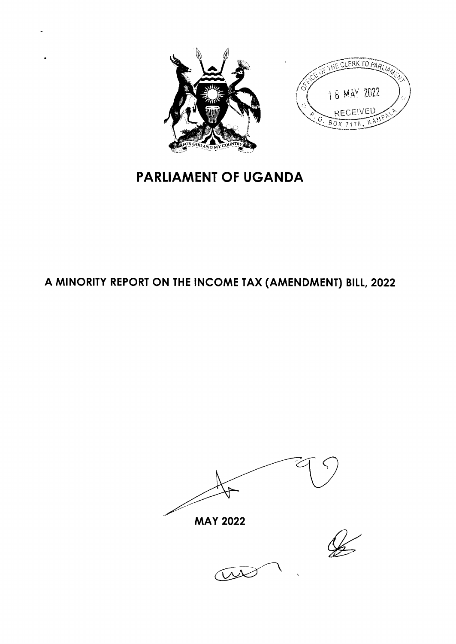



# **PARLIAMENT OF UGANDA**

# A MINORITY REPORT ON THE INCOME TAX (AMENDMENT) BILL, 2022

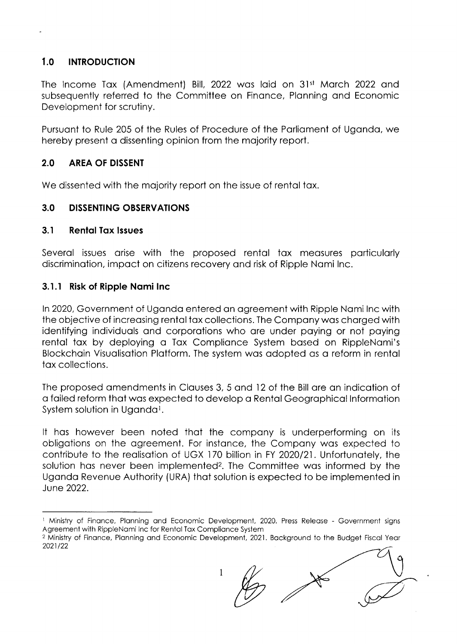### 1.0 INTRODUCTION

The Income Tax (Amendment) Bill, 2022 was laid on 31st March 2022 and subsequently referred to the Committee on Finance, Planning and Economic Development for scrutiny.

Pursuant to Rule 205 of the Rules of Procedure of the Parliament of Uganda, we hereby present o dissenting opinion from the mojority report.

#### 2.0 AREA OF DISSENT

We dissented with the majority report on the issue of rental tax.

#### 3.0 DISSENTING OBSERVATIONS

#### 3.1 Rental Tax Issues

Severol issues orise with the proposed rentol tox meosures porticulorly discriminotion, impoct on citizens recovery ond risk of Ripple Nomi lnc.

#### 3.1.1 Risk of Ripple Nomi lnc

In 2020, Government of Uganda entered an agreement with Ripple Nami Inc with the objective of increosing rentol tox collections. The Compony wos chorged with identifying individuals and corporations who are under paying or not paying rental tax by deploying a Tax Compliance System based on RippleNami's Blockchoin Visuolisotion Plotform. The system wos odopted os o reform in rentol tox collections.

The proposed omendments in Clouses 3, 5 ond l2 of the Bill ore on indicotion of o foiled reform thot wos expected to develop o Rentol Geogrophicol lnformotion System solution in Uganda<sup>1</sup>.

It hos however been noted thot the compony is underperforming on its obligotions on the ogreement. For instonce, the Compony wos expected to contribute to the realisation of UGX 170 billion in FY 2020/21. Unfortunately, the solution has never been implemented<sup>2</sup>. The Committee was informed by the Ugondo Revenue Authority (URA) thot solution is expected to be implemented in June 2022.

1

<sup>&</sup>lt;sup>1</sup> Ministry of Finance, Planning and Economic Development, 2020. Press Release - Government signs Agreement with RippleNami Inc for Rental Tax Compliance System

<sup>&</sup>lt;sup>2</sup> Ministry of Finance, Planning and Economic Development, 2021. Background to the Budget Fiscal Year 2021122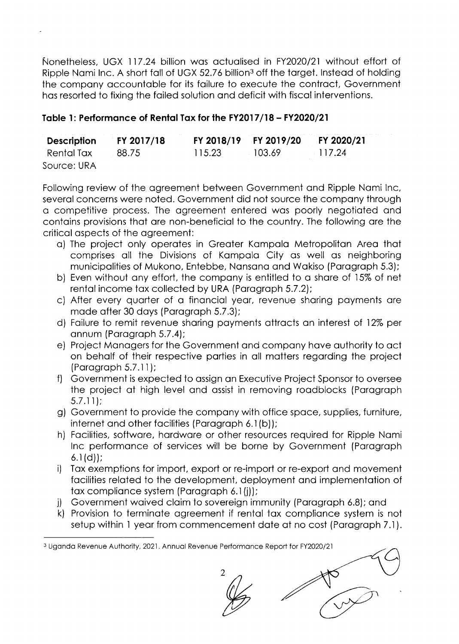Nonetheless, UGX 117.24 billion wos octuolised in FY2020/21 without effort of Ripple Nami Inc. A short fall of UGX 52.76 billion<sup>3</sup> off the target. Instead of holding the compony occountoble for its foilure to execute the controct, Government hos resorted to fixing the foiled solution ond deficit with fiscol interventions.

# Toble 1: Performonce of Rentol Tox for lhe FY2017 /18 - FY2O2O/21

| Description  | <b>FY 2017/18</b> |        |           | FY 2018/19 FY 2019/20 FY 2020/21 |
|--------------|-------------------|--------|-----------|----------------------------------|
| . Rental Tax | 88.75             | 115.23 | $-103.69$ | 117.24                           |
| Source: URA  |                   |        |           |                                  |

Following review of the agreement between Government and Ripple Nami Inc, severol concerns were noted. Government did not source the compony through o competitive process. The ogreement entered wos poorly negotioted ond contains provisions that are non-beneficial to the country. The following are the criticol ospects of the ogreement:

- o) The project only operotes in Greoter Kompolo Metropoliton Areo thot comprises qll the Divisions of Kompolo City os well os neighboring municipalities of Mukono, Entebbe, Nansana and Wakiso (Paragraph 5.3);
- b) Even without ony effort, the compony is entitled to o shore of l5% of net rental income tax collected by URA (Paragraph 5.7.2);
- c) After every quorter of o finonciol yeor, revenue shoring poyments ore mode ofter 30 doys (Porogroph 5.7.3);
- d) Foilure to remit revenue shoring poyments ottrocts on interest of l2% per onnum (Porogroph 5.7 .4);
- e) Project Monogers for the Government ond compony hove outhority to oct on beholf of their respective porties in oll motters regording the project (Porogroph 5.7.1 l);
- f) Government is expected to ossign on Executive Project Sponsor to oversee the project of high level ond ossist in removing roodblocks (Porogroph 5.7.1 l);
- g) Government to provide the compony with office spoce, supplies, furniture, internet and other facilities (Paragraph 6.1(b));
- h) Focilities, softwore, hordwore or other resources required for Ripple Nomi lnc performonce of services will be borne by Government (Porogroph  $6.1(d)$ :
- i) Tox exemptions for import, export or re-import or re-export ond movement facilities related to the development, deployment and implementation of tax compliance system (Paragraph 6.1(j));<br>j) Government waived claim to sovereign immunity (Paragraph 6.8); and
- 

2

k) Provision to terminote ogreement if rentol tox complionce system is not setup within 1 yeor from commencement dote of no cost (Porogroph 7.1).

<sup>3</sup> Uganda Revenue Authority, 2021. Annual Revenue Performance Report for FY2020/21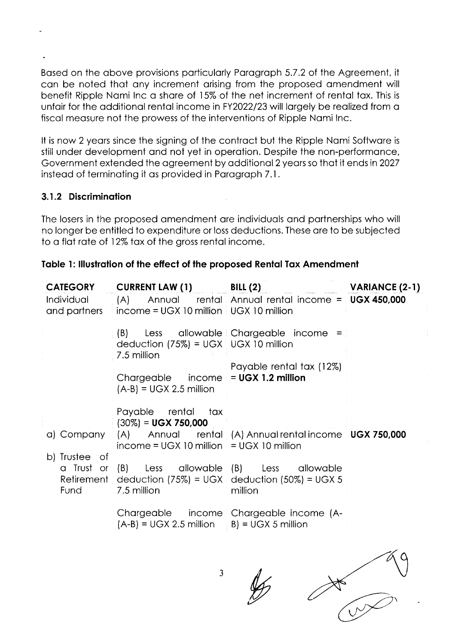Based on the above provisions particularly Paragraph 5.7.2 of the Agreement, it can be noted that any increment arising from the proposed amendment will benefit Ripple Nami Inc a share of 15% of the net increment of rental tax. This is unfair for the additional rental income in FY2022/23 will largely be realized from a fiscal measure not the prowess of the interventions of Ripple Namilnc.

It is now 2 years since the signing of the contract but the Ripple Nami Software is still under development and not yet in operation. Despite the non-performance, Government extended the agreement by additional 2 years so that it ends in 2027 instead of terminating it as provided in Paragraph 7.1.

#### 3.1.2 Discrimination

The losers in the proposed amendment are individuals and partnerships who will no longer be entitled to expenditure or loss deductions. These are to be subjected to a flat rate of 12% tax of the gross rental income.

|  |  | Table 1: Illustration of the effect of the proposed Rental Tax Amendment |  |  |  |  |  |  |  |  |  |
|--|--|--------------------------------------------------------------------------|--|--|--|--|--|--|--|--|--|
|--|--|--------------------------------------------------------------------------|--|--|--|--|--|--|--|--|--|

| <b>CATEGORY</b>                                                  | CURRENT LAW (1) BILL (2)                                                                   |                                                                                                                         | VARIANCE (2-1) |
|------------------------------------------------------------------|--------------------------------------------------------------------------------------------|-------------------------------------------------------------------------------------------------------------------------|----------------|
| Individual <b>Automatic Structure</b><br>and partners <b>the</b> | $income = UGX 10$ million $\frac{1}{2} UGX 10$ million                                     | $(A)$ Annual rental Annual rental income = $UGX 450,000$                                                                |                |
|                                                                  | deduction $(75%) = UGX$ UGX 10 million<br>7.5 million                                      | (B) Less allowable Chargeable income =                                                                                  |                |
|                                                                  | Chargeable $\qquad$ income $\equiv$ UGX 1.2 million<br>$(A-B) = UGX 2.5$ million           | Payable rental tax (12%)                                                                                                |                |
| b) Trustee of                                                    | Payable rental tax<br>$(30\%) = UGX 750,000$<br>$income = UGX 10$ million = UGX 10 million | a) Company (A) Annual rental (A) Annual rental income UGX 750,000                                                       |                |
| Fund                                                             | 7.5 million                                                                                | a Trust or (B) Less allowable (B) Less allowable<br>Retirement deduction (75%) = UGX deduction (50%) = UGX 5<br>million |                |
|                                                                  | $(A-B) = UGX 2.5$ million $B) = UGX 5$ million                                             | Chargeable income Chargeable income (A-                                                                                 |                |
|                                                                  |                                                                                            |                                                                                                                         |                |

3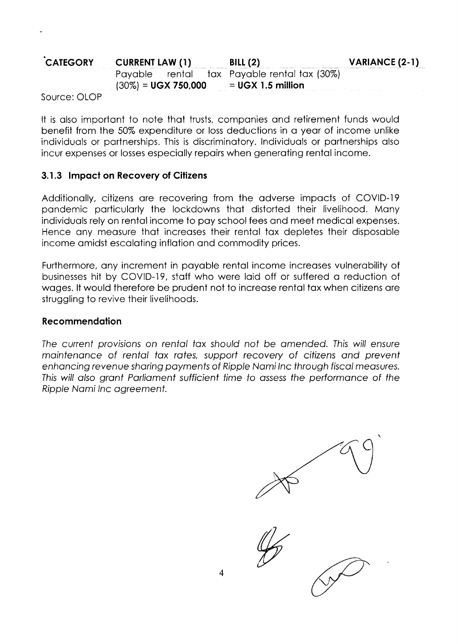#### CATEGORY CURRENT LAW (1) Poyoble rentol  $(30\%) = UGX750.000$ BILL $(2)$ tox Poyoble rentol tox (30%) = UGX I.5 million

Source: OLOP

It is olso importont to note thot trusts, componies ond retirement funds would benefit from the 50% expenditure or loss deductions in o yeor of income unlike individuols or portnerships. This is discriminotory. lndividuols or portnerships olso incur expenses or losses especiolly repoirs when generoting rentol income.

### 3.1.3 Impact on Recovery of Citizens

Additionally, citizens are recovering from the adverse impacts of COVID-19 pondemic porticulorly the lockdowns thot distorted their livelihood. Mony individuols rely on rentol income to poy school fees ond meet medicol expenses. Hence ony meosure thot increoses their rentol tox depletes their disposoble income omidst escoloting inflotion ond commodity prices.

Furthermore, any increment in payable rental income increases vulnerability of businesses hit by COVID-19, staff who were laid off or suffered a reduction of wages. It would therefore be prudent not to increase rental tax when citizens are struggling to revive their livelihoods.

#### **Recommendation**

The current provisions on rental tax should not be amended. This will ensure maintenance of rental tax rates, support recovery of citizens and prevent enhancing revenue sharing payments of Ripple Nami Inc through fiscal measures. This will also grant Parliament sufficient time to assess the performance of the Ripp/e Nomi lnc ogreement.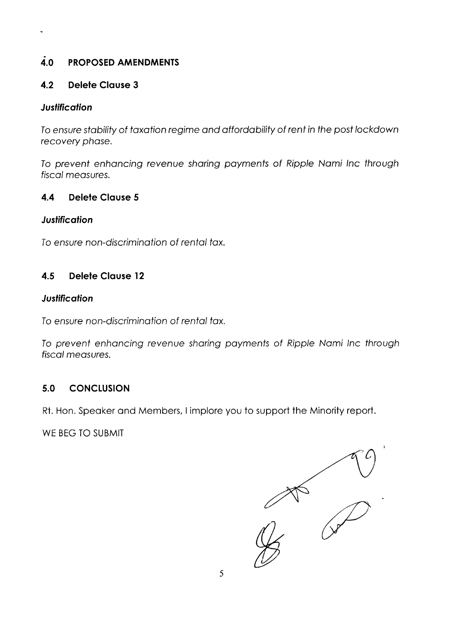# 4.0 PROPOSED AMENDMENTS

# 4.2 Delele CIouse <sup>3</sup>

#### **Justification**

 $\ddot{\phantom{0}}$ 

To ensure stability of taxation regime and affordability of rent in the post lockdown recovery phase.

To prevent enhancing revenue sharing payments of Ripple Nami Inc through fiscal measures.

### 4.4 Delete Clause 5

### **Justification**

To ensure non-discrimination of rental tax.

## 4.5 Delele CIouse l2

### **Justification**

To ensure non-discrimination of rental tax.

To prevent enhancing revenue sharing payments of Ripple Nami Inc through fiscal measures.

# 5.0 CONCLUSION

Rt. Hon. Speoker ond Members, I implore you to support the Minority report.

WE BEG TO SUBMIT

 $\begin{matrix} 1 & 1 \ 1 & 1 \end{matrix}$